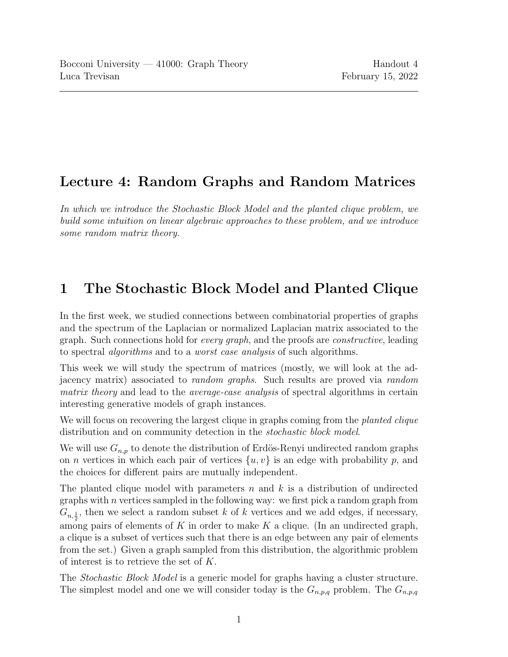## Lecture 4: Random Graphs and Random Matrices

In which we introduce the Stochastic Block Model and the planted clique problem, we build some intuition on linear algebraic approaches to these problem, and we introduce some random matrix theory.

## 1 The Stochastic Block Model and Planted Clique

In the first week, we studied connections between combinatorial properties of graphs and the spectrum of the Laplacian or normalized Laplacian matrix associated to the graph. Such connections hold for *every graph*, and the proofs are *constructive*, leading to spectral algorithms and to a worst case analysis of such algorithms.

This week we will study the spectrum of matrices (mostly, we will look at the adjacency matrix) associated to random graphs. Such results are proved via random matrix theory and lead to the *average-case analysis* of spectral algorithms in certain interesting generative models of graph instances.

We will focus on recovering the largest clique in graphs coming from the *planted clique* distribution and on community detection in the stochastic block model.

We will use  $G_{n,p}$  to denote the distribution of Erdös-Renyi undirected random graphs on *n* vertices in which each pair of vertices  $\{u, v\}$  is an edge with probability p, and the choices for different pairs are mutually independent.

The planted clique model with parameters  $n$  and  $k$  is a distribution of undirected graphs with  $n$  vertices sampled in the following way: we first pick a random graph from  $G_{n,\frac{1}{2}}$ , then we select a random subset k of k vertices and we add edges, if necessary, among pairs of elements of K in order to make K a clique. (In an undirected graph, a clique is a subset of vertices such that there is an edge between any pair of elements from the set.) Given a graph sampled from this distribution, the algorithmic problem of interest is to retrieve the set of K.

The Stochastic Block Model is a generic model for graphs having a cluster structure. The simplest model and one we will consider today is the  $G_{n,p,q}$  problem. The  $G_{n,p,q}$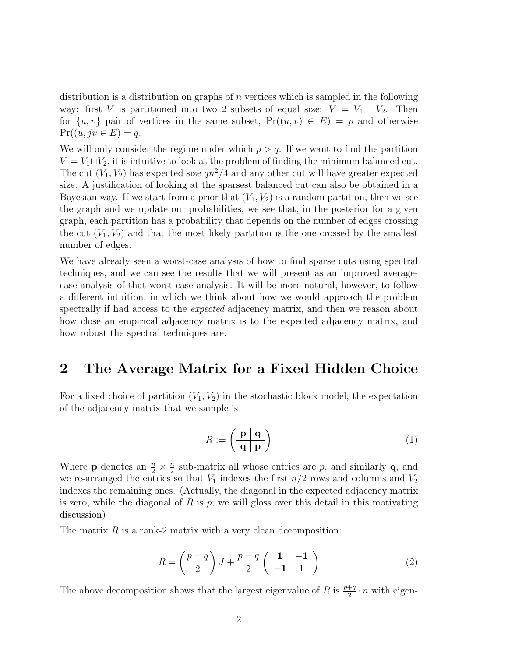distribution is a distribution on graphs of  $n$  vertices which is sampled in the following way: first V is partitioned into two 2 subsets of equal size:  $V = V_1 \sqcup V_2$ . Then for  $\{u, v\}$  pair of vertices in the same subset,  $Pr((u, v) \in E) = p$  and otherwise  $Pr((u, jv \in E) = q$ .

We will only consider the regime under which  $p > q$ . If we want to find the partition  $V = V_1 \sqcup V_2$ , it is intuitive to look at the problem of finding the minimum balanced cut. The cut  $(V_1, V_2)$  has expected size  $qn^2/4$  and any other cut will have greater expected size. A justification of looking at the sparsest balanced cut can also be obtained in a Bayesian way. If we start from a prior that  $(V_1, V_2)$  is a random partition, then we see the graph and we update our probabilities, we see that, in the posterior for a given graph, each partition has a probability that depends on the number of edges crossing the cut  $(V_1, V_2)$  and that the most likely partition is the one crossed by the smallest number of edges.

We have already seen a worst-case analysis of how to find sparse cuts using spectral techniques, and we can see the results that we will present as an improved averagecase analysis of that worst-case analysis. It will be more natural, however, to follow a different intuition, in which we think about how we would approach the problem spectrally if had access to the *expected* adjacency matrix, and then we reason about how close an empirical adjacency matrix is to the expected adjacency matrix, and how robust the spectral techniques are.

## 2 The Average Matrix for a Fixed Hidden Choice

For a fixed choice of partition  $(V_1, V_2)$  in the stochastic block model, the expectation of the adjacency matrix that we sample is

$$
R := \left(\begin{array}{c|c} \mathbf{p} & \mathbf{q} \\ \hline \mathbf{q} & \mathbf{p} \end{array}\right) \tag{1}
$$

Where **p** denotes an  $\frac{n}{2} \times \frac{n}{2}$  $\frac{n}{2}$  sub-matrix all whose entries are p, and similarly **q**, and we re-arranged the entries so that  $V_1$  indexes the first  $n/2$  rows and columns and  $V_2$ indexes the remaining ones. (Actually, the diagonal in the expected adjacency matrix is zero, while the diagonal of R is  $p$ ; we will gloss over this detail in this motivating discussion)

The matrix  $R$  is a rank-2 matrix with a very clean decomposition:

$$
R = \left(\frac{p+q}{2}\right)J + \frac{p-q}{2}\left(\frac{1}{-1}\left|\frac{-1}{1}\right\rangle\right) \tag{2}
$$

The above decomposition shows that the largest eigenvalue of R is  $\frac{p+q}{2} \cdot n$  with eigen-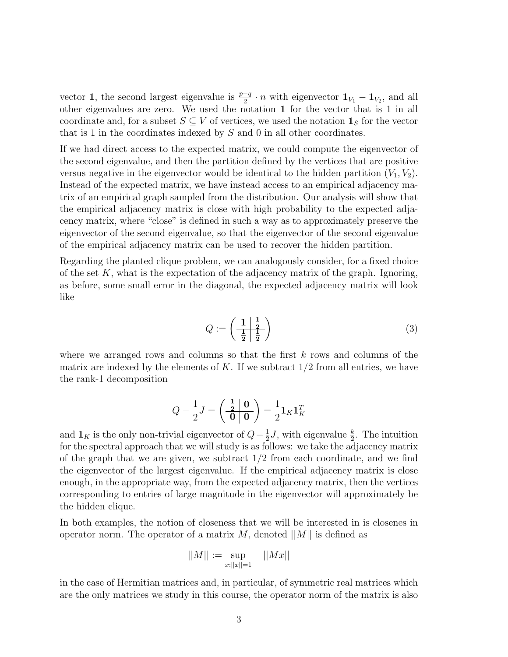vector **1**, the second largest eigenvalue is  $\frac{p-q}{2} \cdot n$  with eigenvector  $\mathbf{1}_{V_1} - \mathbf{1}_{V_2}$ , and all other eigenvalues are zero. We used the notation 1 for the vector that is 1 in all coordinate and, for a subset  $S \subseteq V$  of vertices, we used the notation  $\mathbf{1}_S$  for the vector that is 1 in the coordinates indexed by S and 0 in all other coordinates.

If we had direct access to the expected matrix, we could compute the eigenvector of the second eigenvalue, and then the partition defined by the vertices that are positive versus negative in the eigenvector would be identical to the hidden partition  $(V_1, V_2)$ . Instead of the expected matrix, we have instead access to an empirical adjacency matrix of an empirical graph sampled from the distribution. Our analysis will show that the empirical adjacency matrix is close with high probability to the expected adjacency matrix, where "close" is defined in such a way as to approximately preserve the eigenvector of the second eigenvalue, so that the eigenvector of the second eigenvalue of the empirical adjacency matrix can be used to recover the hidden partition.

Regarding the planted clique problem, we can analogously consider, for a fixed choice of the set  $K$ , what is the expectation of the adjacency matrix of the graph. Ignoring, as before, some small error in the diagonal, the expected adjacency matrix will look like

$$
Q := \left(\frac{1}{\frac{1}{2}} \frac{\frac{1}{2}}{\frac{1}{2}}\right) \tag{3}
$$

where we arranged rows and columns so that the first  $k$  rows and columns of the matrix are indexed by the elements of K. If we subtract  $1/2$  from all entries, we have the rank-1 decomposition

$$
Q - \frac{1}{2}J = \left(\begin{array}{c|c} \frac{1}{2} & \mathbf{0} \\ \hline \mathbf{0} & \mathbf{0} \end{array}\right) = \frac{1}{2} \mathbf{1}_K \mathbf{1}_K^T
$$

and  $\mathbf{1}_K$  is the only non-trivial eigenvector of  $Q-\frac{1}{2}$  $\frac{1}{2}J$ , with eigenvalue  $\frac{k}{2}$ . The intuition for the spectral approach that we will study is as follows: we take the adjacency matrix of the graph that we are given, we subtract  $1/2$  from each coordinate, and we find the eigenvector of the largest eigenvalue. If the empirical adjacency matrix is close enough, in the appropriate way, from the expected adjacency matrix, then the vertices corresponding to entries of large magnitude in the eigenvector will approximately be the hidden clique.

In both examples, the notion of closeness that we will be interested in is closenes in operator norm. The operator of a matrix M, denoted  $||M||$  is defined as

$$
||M||:=\sup_{x:||x||=1} \quad ||Mx||
$$

in the case of Hermitian matrices and, in particular, of symmetric real matrices which are the only matrices we study in this course, the operator norm of the matrix is also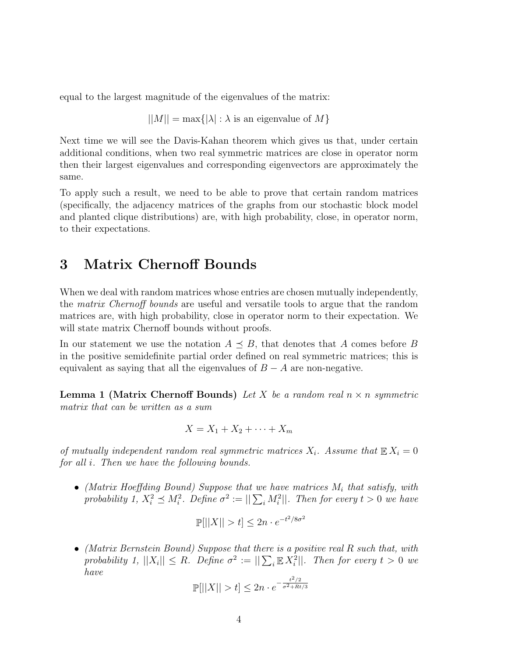equal to the largest magnitude of the eigenvalues of the matrix:

 $||M|| = \max\{|\lambda| : \lambda$  is an eigenvalue of M}

Next time we will see the Davis-Kahan theorem which gives us that, under certain additional conditions, when two real symmetric matrices are close in operator norm then their largest eigenvalues and corresponding eigenvectors are approximately the same.

To apply such a result, we need to be able to prove that certain random matrices (specifically, the adjacency matrices of the graphs from our stochastic block model and planted clique distributions) are, with high probability, close, in operator norm, to their expectations.

## 3 Matrix Chernoff Bounds

When we deal with random matrices whose entries are chosen mutually independently, the matrix Chernoff bounds are useful and versatile tools to argue that the random matrices are, with high probability, close in operator norm to their expectation. We will state matrix Chernoff bounds without proofs.

In our statement we use the notation  $A \preceq B$ , that denotes that A comes before B in the positive semidefinite partial order defined on real symmetric matrices; this is equivalent as saying that all the eigenvalues of  $B - A$  are non-negative.

**Lemma 1 (Matrix Chernoff Bounds)** Let X be a random real  $n \times n$  symmetric matrix that can be written as a sum

$$
X = X_1 + X_2 + \dots + X_m
$$

of mutually independent random real symmetric matrices  $X_i$ . Assume that  $\mathbb{E} X_i = 0$ for all i. Then we have the following bounds.

• (Matrix Hoeffding Bound) Suppose that we have matrices  $M_i$  that satisfy, with probability 1,  $X_i^2 \preceq M_i^2$ . Define  $\sigma^2 := ||\sum_i M_i^2||$ . Then for every  $t > 0$  we have

$$
\mathbb{P}[||X|| > t] \le 2n \cdot e^{-t^2/8\sigma^2}
$$

• (Matrix Bernstein Bound) Suppose that there is a positive real R such that, with probability 1,  $||X_i|| \leq R$ . Define  $\sigma^2 := ||\sum_i \mathbb{E} X_i^2||$ . Then for every  $t > 0$  we have

$$
\mathbb{P}[||X|| > t] \le 2n \cdot e^{-\frac{t^2/2}{\sigma^2 + Rt/3}}
$$